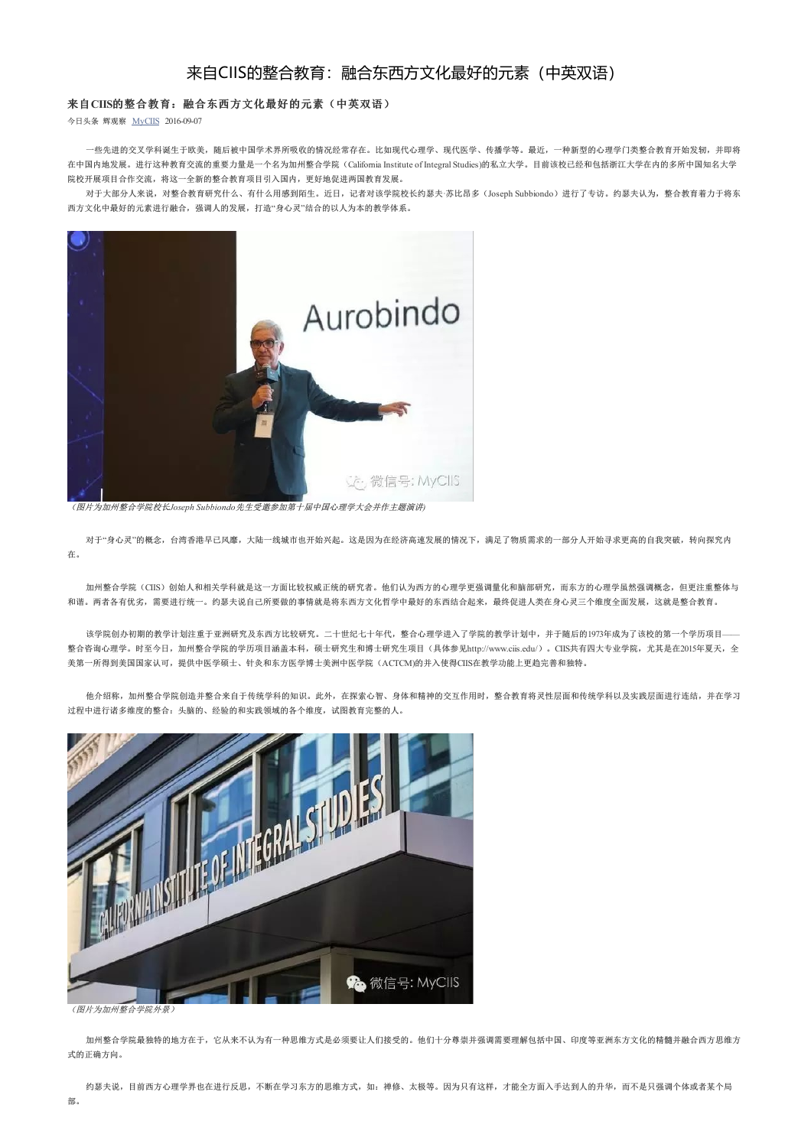## 来自CIIS的整合教育:融合东西方文化最好的元素(中英双语)

## 来自**CIIS**的整合教育:融合东西方文化最好的元素(中英双语)

今日头条 辉观察 MyCIIS 2016-09-07

一些先进的交叉学科诞生于欧美,随后被中国学术界所吸收的情况经常存在。比如现代心理学、现代医学、传播学等。最近,一种新型的心理学门类整合教育开始发轫,并即将 在中国内地发展。进行这种教育交流的重要力量是一个名为加州整合学院(California Institute of Integral Studies)的私立大学。目前该校已经和包括浙江大学在内的多所中国知名大学 院校开展项目合作交流,将这一全新的整合教育项目引入国内,更好地促进两国教育发展。

对于大部分人来说,对整合教育研究什么、有什么用感到陌生。近日,记者对该学院校长约瑟夫·苏比昂多(Joseph Subbiondo)进行了专访。约瑟夫认为,整合教育着力于将东 西方文化中最好的元素进行融合,强调人的发展,打造"身心灵"结合的以人为本的教学体系。



(图片为加州整合学院校长*Joseph Subbiondo*先生受邀参加第十届中国心理学大会并作主题演讲*)*

对于"身心灵"的概念,台湾香港早已风靡,大陆一线城市也开始兴起。这是因为在经济高速发展的情况下,满足了物质需求的一部分人开始寻求更高的自我突破,转向探究内 在。

加州整合学院(CIIS)创始人和相关学科就是这一方面比较权威正统的研究者。他们认为西方的心理学更强调量化和脑部研究,而东方的心理学虽然强调概念,但更注重整体与 和谐。两者各有优劣,需要进行统一。约瑟夫说自己所要做的事情就是将东西方文化哲学中最好的东西结合起来,最终促进人类在身心灵三个维度全面发展,这就是整合教育。

该学院创办初期的教学计划注重于亚洲研究及东西方比较研究。二十世纪七十年代,整合心理学进入了学院的教学计划中,并于随后的1973年成为了该校的第一个学历项目—— 整合咨询心理学。时至今日,加州整合学院的学历项目涵盖本科,硕士研究生和博士研究生项目(具体参见http://www.ciis.edu/)。CIIS共有四大专业学院,尤其是在2015年夏天,全 美第一所得到美国国家认可,提供中医学硕士、针灸和东方医学博士美洲中医学院(ACTCM)的并入使得CIIS在教学功能上更趋完善和独特。

他介绍称,加州整合学院创造并整合来自于传统学科的知识。此外,在探索心智、身体和精神的交互作用时,整合教育将灵性层面和传统学科以及实践层面进行连结,并在学习 过程中进行诸多维度的整合:头脑的、经验的和实践领域的各个维度,试图教育完整的人。



(图片为加州整合学院外景)

加州整合学院最独特的地方在于,它从来不认为有一种思维方式是必须要让人们接受的。他们十分尊崇并强调需要理解包括中国、印度等亚洲东方文化的精髓并融合西方思维方 式的正确方向。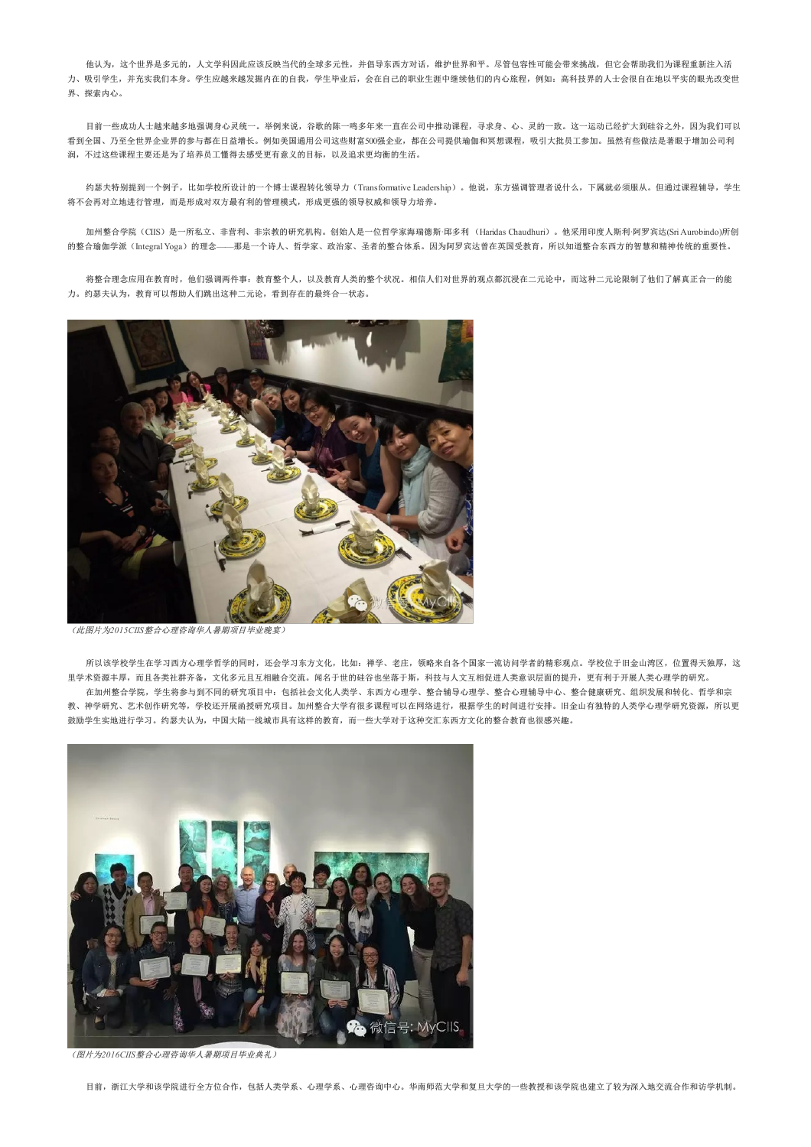他认为,这个世界是多元的,人文学科因此应该反映当代的全球多元性,并倡导东西方对话,维护世界和平。尽管包容性可能会带来挑战,但它会帮助我们为课程重新注入活 力、吸引学生,并充实我们本身。学生应越来越发掘内在的自我,学生毕业后,会在自己的职业生涯中继续他们的内心旅程,例如:高科技界的人士会很自在地以平实的眼光改变世 界、探索内心。

目前一些成功人士越来越多地强调身心灵统一。举例来说,谷歌的陈一鸣多年来一直在公司中推动课程,寻求身、心、灵的一致。这一运动已经扩大到硅谷之外,因为我们可以 看到全国、乃至全世界企业界的参与都在日益增长。例如美国通用公司这些财富500强企业,都在公司提供瑜伽和冥想课程,吸引大批员工参加。虽然有些做法是著眼于增加公司利 润,不过这些课程主要还是为了培养员工懂得去感受更有意义的目标,以及追求更均衡的生活。

约瑟夫特别提到一个例子,比如学校所设计的一个博士课程转化领导力(Transformative Leadership)。他说,东方强调管理者说什么,下属就必须服从。但通过课程辅导,学生 将不会再对立地进行管理,而是形成对双方最有利的管理模式,形成更强的领导权威和领导力培养。

加州整合学院(CIIS)是一所私立、非营利、非宗教的研究机构。创始人是一位哲学家海瑞德斯·邱多利 (Haridas Chaudhuri)。他采用印度人斯利·阿罗宾达(SriAurobindo)所创 的整合瑜伽学派(IntegralYoga)的理念——那是一个诗人、哲学家、政治家、圣者的整合体系。因为阿罗宾达曾在英国受教育,所以知道整合东西方的智慧和精神传统的重要性。

将整合理念应用在教育时,他们强调两件事:教育整个人,以及教育人类的整个状况。相信人们对世界的观点都沉浸在二元论中,而这种二元论限制了他们了解真正合一的能 力。约瑟夫认为,教育可以帮助人们跳出这种二元论,看到存在的最终合一状态。



(此图片为*2015CIIS*整合心理咨询华人暑期项目毕业晚宴)

所以该学校学生在学习同时,还会学习东方文化,比如:禅学、老庄,领略来自各个国家一流访问学者的精彩观点。学校位于旧金山湾区,位置得天独厚,这 里学术资源丰厚,而且各类社群齐备,文化多元且互相融合交流。闻名于世的硅谷也坐落于斯,科技与人文互相促进人类意识层面的提升,更有利于开展人类心理学的研究。 在加州整合学院,学生将参与到不同的研究项目中:包括社会文化人类学、东西方心理学、整合辅导心理学、整合心理辅导中心、整合健康研究、组织发展和转化、哲学和宗

教、神学研究、艺术创作研究等,学校还开展函授研究项目。加州整合大学有很多课程可以在网络进行,根据学生的时间进行安排。旧金山有独特的人类学心理学研究资源,所以更 鼓励学生实地进行学习。约瑟夫认为,中国大陆一线城市具有这样的教育,而一些大学对于这种交汇东西方文化的整合教育也很感兴趣。



(图片为*2016CIIS*整合心理咨询华人暑期项目毕业典礼)